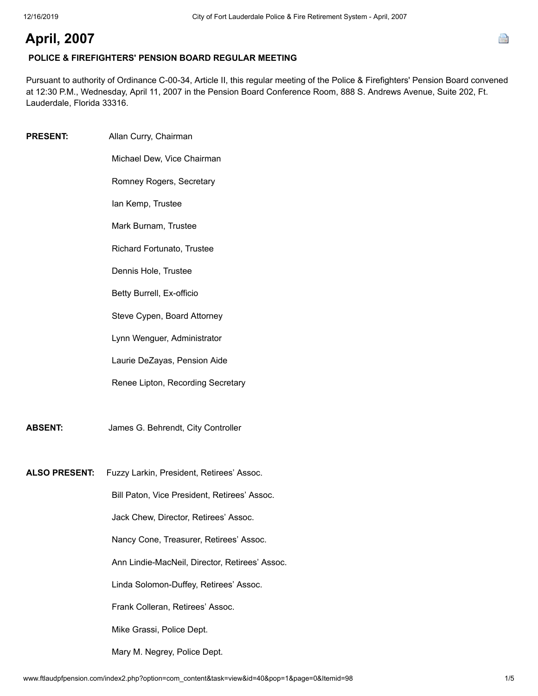## **April, 2007**

## **POLICE & FIREFIGHTERS' PENSION BOARD REGULAR MEETING**

Pursuant to authority of Ordinance C-00-34, Article II, this regular meeting of the Police & Firefighters' Pension Board convened at 12:30 P.M., Wednesday, April 11, 2007 in the Pension Board Conference Room, 888 S. Andrews Avenue, Suite 202, Ft. Lauderdale, Florida 33316.

| <b>PRESENT:</b> | Allan Curry, Chairman                                   |
|-----------------|---------------------------------------------------------|
|                 | Michael Dew, Vice Chairman                              |
|                 | Romney Rogers, Secretary                                |
|                 | lan Kemp, Trustee                                       |
|                 | Mark Burnam, Trustee                                    |
|                 | Richard Fortunato, Trustee                              |
|                 | Dennis Hole, Trustee                                    |
|                 | Betty Burrell, Ex-officio                               |
|                 | Steve Cypen, Board Attorney                             |
|                 | Lynn Wenguer, Administrator                             |
|                 | Laurie DeZayas, Pension Aide                            |
|                 | Renee Lipton, Recording Secretary                       |
| <b>ABSENT:</b>  | James G. Behrendt, City Controller                      |
|                 | ALSO PRESENT: Fuzzy Larkin, President, Retirees' Assoc. |
|                 | Bill Paton, Vice President, Retirees' Assoc.            |
|                 | Jack Chew, Director, Retirees' Assoc.                   |
|                 | Nancy Cone, Treasurer, Retirees' Assoc.                 |
|                 | Ann Lindie-MacNeil, Director, Retirees' Assoc.          |
|                 | Linda Solomon-Duffey, Retirees' Assoc.                  |
|                 | Frank Colleran, Retirees' Assoc.                        |
|                 | Mike Grassi, Police Dept.                               |
|                 | Mary M. Negrey, Police Dept.                            |

e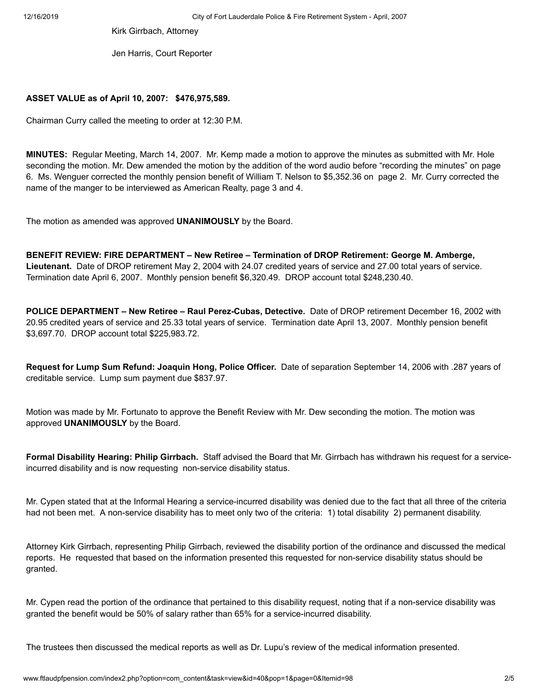Kirk Girrbach, Attorney

Jen Harris, Court Reporter

## **ASSET VALUE as of April 10, 2007: \$476,975,589.**

Chairman Curry called the meeting to order at 12:30 P.M.

**MINUTES:** Regular Meeting, March 14, 2007. Mr. Kemp made a motion to approve the minutes as submitted with Mr. Hole seconding the motion. Mr. Dew amended the motion by the addition of the word audio before "recording the minutes" on page 6. Ms. Wenguer corrected the monthly pension benefit of William T. Nelson to \$5,352.36 on page 2. Mr. Curry corrected the name of the manger to be interviewed as American Realty, page 3 and 4.

The motion as amended was approved **UNANIMOUSLY** by the Board.

**BENEFIT REVIEW: FIRE DEPARTMENT – New Retiree – Termination of DROP Retirement: George M. Amberge, Lieutenant.** Date of DROP retirement May 2, 2004 with 24.07 credited years of service and 27.00 total years of service. Termination date April 6, 2007. Monthly pension benefit \$6,320.49. DROP account total \$248,230.40.

**POLICE DEPARTMENT – New Retiree – Raul Perez-Cubas, Detective.** Date of DROP retirement December 16, 2002 with 20.95 credited years of service and 25.33 total years of service. Termination date April 13, 2007. Monthly pension benefit \$3,697.70. DROP account total \$225,983.72.

**Request for Lump Sum Refund: Joaquin Hong, Police Officer.** Date of separation September 14, 2006 with .287 years of creditable service. Lump sum payment due \$837.97.

Motion was made by Mr. Fortunato to approve the Benefit Review with Mr. Dew seconding the motion. The motion was approved **UNANIMOUSLY** by the Board.

**Formal Disability Hearing: Philip Girrbach.** Staff advised the Board that Mr. Girrbach has withdrawn his request for a serviceincurred disability and is now requesting non-service disability status.

Mr. Cypen stated that at the Informal Hearing a service-incurred disability was denied due to the fact that all three of the criteria had not been met. A non-service disability has to meet only two of the criteria: 1) total disability 2) permanent disability.

Attorney Kirk Girrbach, representing Philip Girrbach, reviewed the disability portion of the ordinance and discussed the medical reports. He requested that based on the information presented this requested for non-service disability status should be granted.

Mr. Cypen read the portion of the ordinance that pertained to this disability request, noting that if a non-service disability was granted the benefit would be 50% of salary rather than 65% for a service-incurred disability.

The trustees then discussed the medical reports as well as Dr. Lupu's review of the medical information presented.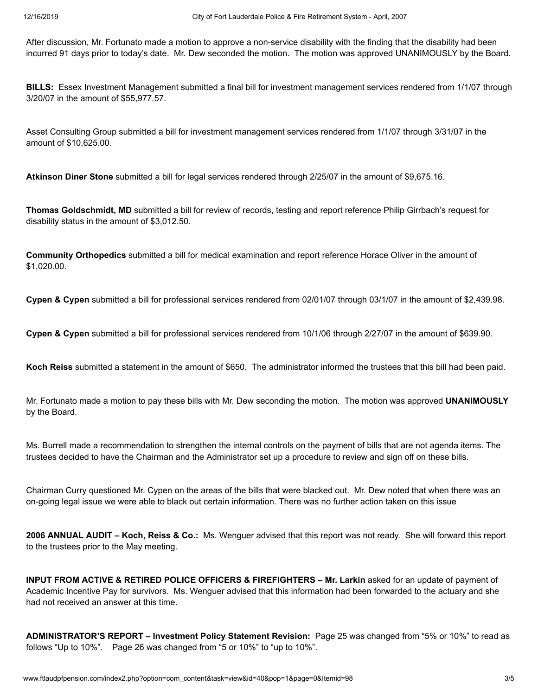After discussion, Mr. Fortunato made a motion to approve a non-service disability with the finding that the disability had been incurred 91 days prior to today's date. Mr. Dew seconded the motion. The motion was approved UNANIMOUSLY by the Board.

**BILLS:** Essex Investment Management submitted a final bill for investment management services rendered from 1/1/07 through 3/20/07 in the amount of \$55,977.57.

Asset Consulting Group submitted a bill for investment management services rendered from 1/1/07 through 3/31/07 in the amount of \$10,625.00.

**Atkinson Diner Stone** submitted a bill for legal services rendered through 2/25/07 in the amount of \$9,675.16.

**Thomas Goldschmidt, MD** submitted a bill for review of records, testing and report reference Philip Girrbach's request for disability status in the amount of \$3,012.50.

**Community Orthopedics** submitted a bill for medical examination and report reference Horace Oliver in the amount of \$1,020.00.

**Cypen & Cypen** submitted a bill for professional services rendered from 02/01/07 through 03/1/07 in the amount of \$2,439.98.

**Cypen & Cypen** submitted a bill for professional services rendered from 10/1/06 through 2/27/07 in the amount of \$639.90.

**Koch Reiss** submitted a statement in the amount of \$650. The administrator informed the trustees that this bill had been paid.

Mr. Fortunato made a motion to pay these bills with Mr. Dew seconding the motion. The motion was approved **UNANIMOUSLY** by the Board.

Ms. Burrell made a recommendation to strengthen the internal controls on the payment of bills that are not agenda items. The trustees decided to have the Chairman and the Administrator set up a procedure to review and sign off on these bills.

Chairman Curry questioned Mr. Cypen on the areas of the bills that were blacked out. Mr. Dew noted that when there was an on-going legal issue we were able to black out certain information. There was no further action taken on this issue

**2006 ANNUAL AUDIT – Koch, Reiss & Co.:** Ms. Wenguer advised that this report was not ready. She will forward this report to the trustees prior to the May meeting.

**INPUT FROM ACTIVE & RETIRED POLICE OFFICERS & FIREFIGHTERS – Mr. Larkin** asked for an update of payment of Academic Incentive Pay for survivors. Ms. Wenguer advised that this information had been forwarded to the actuary and she had not received an answer at this time.

**ADMINISTRATOR'S REPORT – Investment Policy Statement Revision:** Page 25 was changed from "5% or 10%" to read as follows "Up to 10%". Page 26 was changed from "5 or 10%" to "up to 10%".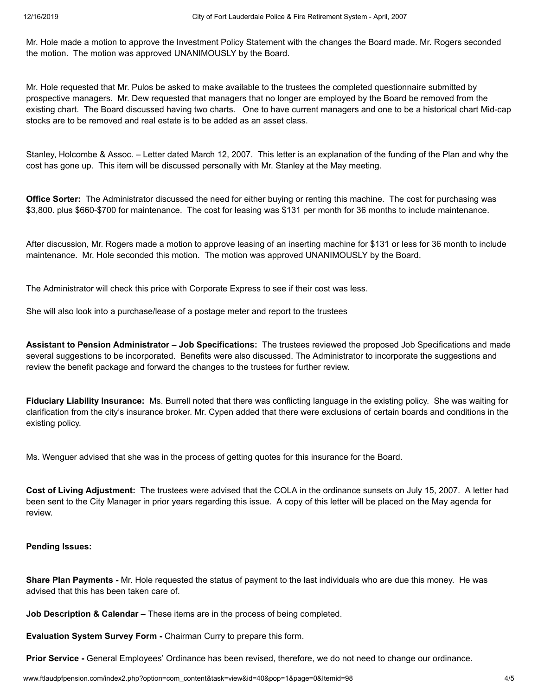Mr. Hole made a motion to approve the Investment Policy Statement with the changes the Board made. Mr. Rogers seconded the motion. The motion was approved UNANIMOUSLY by the Board.

Mr. Hole requested that Mr. Pulos be asked to make available to the trustees the completed questionnaire submitted by prospective managers. Mr. Dew requested that managers that no longer are employed by the Board be removed from the existing chart. The Board discussed having two charts. One to have current managers and one to be a historical chart Mid-cap stocks are to be removed and real estate is to be added as an asset class.

Stanley, Holcombe & Assoc. – Letter dated March 12, 2007. This letter is an explanation of the funding of the Plan and why the cost has gone up. This item will be discussed personally with Mr. Stanley at the May meeting.

**Office Sorter:** The Administrator discussed the need for either buying or renting this machine. The cost for purchasing was \$3,800. plus \$660-\$700 for maintenance. The cost for leasing was \$131 per month for 36 months to include maintenance.

After discussion, Mr. Rogers made a motion to approve leasing of an inserting machine for \$131 or less for 36 month to include maintenance. Mr. Hole seconded this motion. The motion was approved UNANIMOUSLY by the Board.

The Administrator will check this price with Corporate Express to see if their cost was less.

She will also look into a purchase/lease of a postage meter and report to the trustees

**Assistant to Pension Administrator – Job Specifications:** The trustees reviewed the proposed Job Specifications and made several suggestions to be incorporated. Benefits were also discussed. The Administrator to incorporate the suggestions and review the benefit package and forward the changes to the trustees for further review.

**Fiduciary Liability Insurance:** Ms. Burrell noted that there was conflicting language in the existing policy. She was waiting for clarification from the city's insurance broker. Mr. Cypen added that there were exclusions of certain boards and conditions in the existing policy.

Ms. Wenguer advised that she was in the process of getting quotes for this insurance for the Board.

**Cost of Living Adjustment:** The trustees were advised that the COLA in the ordinance sunsets on July 15, 2007. A letter had been sent to the City Manager in prior years regarding this issue. A copy of this letter will be placed on the May agenda for review.

## **Pending Issues:**

**Share Plan Payments -** Mr. Hole requested the status of payment to the last individuals who are due this money. He was advised that this has been taken care of.

**Job Description & Calendar –** These items are in the process of being completed.

**Evaluation System Survey Form -** Chairman Curry to prepare this form.

**Prior Service -** General Employees' Ordinance has been revised, therefore, we do not need to change our ordinance.